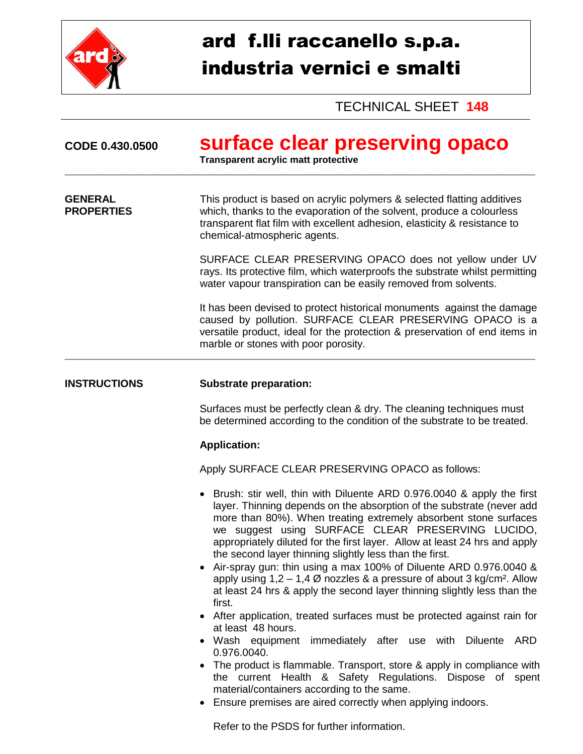

## ard f.lli raccanello s.p.a. industria vernici e smalti

TECHNICAL SHEET **148**

| CODE 0.430.0500                     | surface clear preserving opaco<br><b>Transparent acrylic matt protective</b>                                                                                                                                                                                                                                                                                                                                                                                                                                                                                                                                                                                          |
|-------------------------------------|-----------------------------------------------------------------------------------------------------------------------------------------------------------------------------------------------------------------------------------------------------------------------------------------------------------------------------------------------------------------------------------------------------------------------------------------------------------------------------------------------------------------------------------------------------------------------------------------------------------------------------------------------------------------------|
| <b>GENERAL</b><br><b>PROPERTIES</b> | This product is based on acrylic polymers & selected flatting additives<br>which, thanks to the evaporation of the solvent, produce a colourless<br>transparent flat film with excellent adhesion, elasticity & resistance to<br>chemical-atmospheric agents.                                                                                                                                                                                                                                                                                                                                                                                                         |
|                                     | SURFACE CLEAR PRESERVING OPACO does not yellow under UV<br>rays. Its protective film, which waterproofs the substrate whilst permitting<br>water vapour transpiration can be easily removed from solvents.                                                                                                                                                                                                                                                                                                                                                                                                                                                            |
|                                     | It has been devised to protect historical monuments against the damage<br>caused by pollution. SURFACE CLEAR PRESERVING OPACO is a<br>versatile product, ideal for the protection & preservation of end items in<br>marble or stones with poor porosity.                                                                                                                                                                                                                                                                                                                                                                                                              |
| <b>INSTRUCTIONS</b>                 | <b>Substrate preparation:</b>                                                                                                                                                                                                                                                                                                                                                                                                                                                                                                                                                                                                                                         |
|                                     | Surfaces must be perfectly clean & dry. The cleaning techniques must<br>be determined according to the condition of the substrate to be treated.                                                                                                                                                                                                                                                                                                                                                                                                                                                                                                                      |
|                                     | <b>Application:</b>                                                                                                                                                                                                                                                                                                                                                                                                                                                                                                                                                                                                                                                   |
|                                     | Apply SURFACE CLEAR PRESERVING OPACO as follows:                                                                                                                                                                                                                                                                                                                                                                                                                                                                                                                                                                                                                      |
|                                     | • Brush: stir well, thin with Diluente ARD 0.976.0040 & apply the first<br>layer. Thinning depends on the absorption of the substrate (never add<br>more than 80%). When treating extremely absorbent stone surfaces<br>we suggest using SURFACE CLEAR PRESERVING LUCIDO,<br>appropriately diluted for the first layer. Allow at least 24 hrs and apply<br>the second layer thinning slightly less than the first.<br>Air-spray gun: thin using a max 100% of Diluente ARD 0.976.0040 &<br>apply using $1,2 - 1,4$ Ø nozzles & a pressure of about 3 kg/cm <sup>2</sup> . Allow<br>at least 24 hrs & apply the second layer thinning slightly less than the<br>first. |
|                                     | • After application, treated surfaces must be protected against rain for<br>at least 48 hours.                                                                                                                                                                                                                                                                                                                                                                                                                                                                                                                                                                        |
|                                     | • Wash equipment<br>immediately after use with Diluente<br>ARD<br>0.976.0040.<br>The product is flammable. Transport, store & apply in compliance with<br>the current Health & Safety Regulations. Dispose of spent<br>material/containers according to the same.<br>Ensure premises are aired correctly when applying indoors.<br>Refer to the PSDS for further information.                                                                                                                                                                                                                                                                                         |